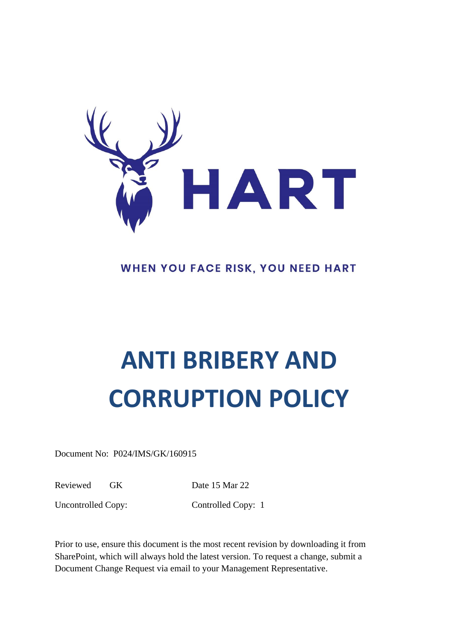

# WHEN YOU FACE RISK, YOU NEED HART

# **ANTI BRIBERY AND CORRUPTION POLICY**

Document No: P024/IMS/GK/160915

Reviewed GK Date 15 Mar 22

Uncontrolled Copy: Controlled Copy: 1

Prior to use, ensure this document is the most recent revision by downloading it from SharePoint, which will always hold the latest version. To request a change, submit a Document Change Request via email to your Management Representative.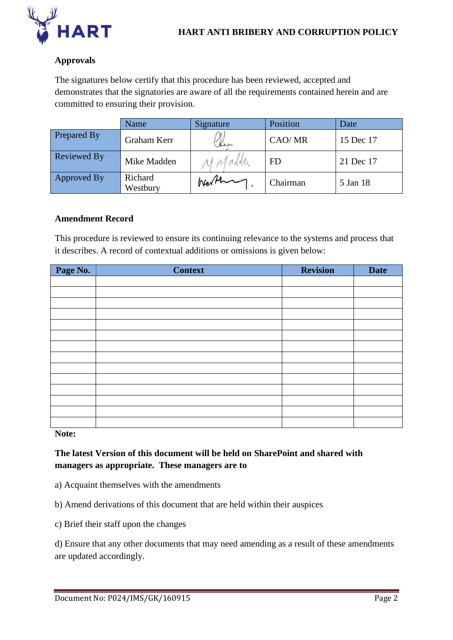

# **Approvals**

The signatures below certify that this procedure has been reviewed, accepted and demonstrates that the signatories are aware of all the requirements contained herein and are committed to ensuring their provision.

|                    | Name                | Signature | Position  | Date      |
|--------------------|---------------------|-----------|-----------|-----------|
| Prepared By        | Graham Kerr         | Ken       | CAO/MR    | 15 Dec 17 |
| <b>Reviewed By</b> | Mike Madden         | M Madder  | <b>FD</b> | 21 Dec 17 |
| Approved By        | Richard<br>Westbury | Werthing  | Chairman  | 5 Jan 18  |

#### **Amendment Record**

This procedure is reviewed to ensure its continuing relevance to the systems and process that it describes. A record of contextual additions or omissions is given below:

| Page No. | <b>Context</b> | <b>Revision</b> | <b>Date</b> |
|----------|----------------|-----------------|-------------|
|          |                |                 |             |
|          |                |                 |             |
|          |                |                 |             |
|          |                |                 |             |
|          |                |                 |             |
|          |                |                 |             |
|          |                |                 |             |
|          |                |                 |             |
|          |                |                 |             |
|          |                |                 |             |
|          |                |                 |             |
|          |                |                 |             |
|          |                |                 |             |
|          |                |                 |             |

**Note:**

**The latest Version of this document will be held on SharePoint and shared with managers as appropriate. These managers are to**

- a) Acquaint themselves with the amendments
- b) Amend derivations of this document that are held within their auspices
- c) Brief their staff upon the changes

d) Ensure that any other documents that may need amending as a result of these amendments are updated accordingly.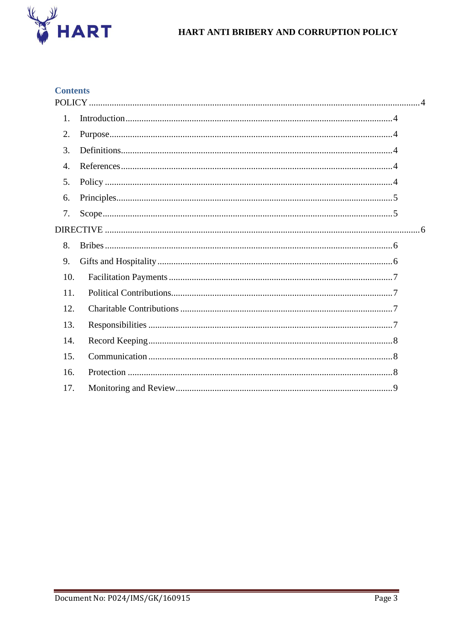

# HART ANTI BRIBERY AND CORRUPTION POLICY

# **Contents**

| 1.  |  |
|-----|--|
| 2.  |  |
| 3.  |  |
| 4.  |  |
| 5.  |  |
| 6.  |  |
| 7.  |  |
|     |  |
| 8.  |  |
| 9.  |  |
| 10. |  |
| 11. |  |
| 12. |  |
| 13. |  |
| 14. |  |
| 15. |  |
| 16. |  |
| 17. |  |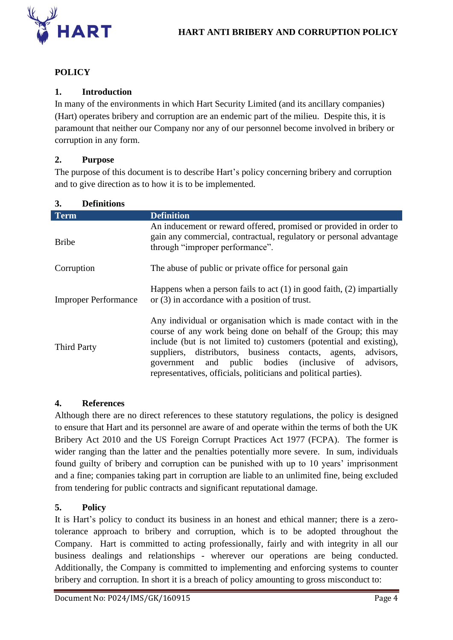

# <span id="page-3-0"></span>**POLICY**

# <span id="page-3-1"></span>**1. Introduction**

In many of the environments in which Hart Security Limited (and its ancillary companies) (Hart) operates bribery and corruption are an endemic part of the milieu. Despite this, it is paramount that neither our Company nor any of our personnel become involved in bribery or corruption in any form.

#### <span id="page-3-2"></span>**2. Purpose**

<span id="page-3-3"></span>**3. Definitions**

The purpose of this document is to describe Hart's policy concerning bribery and corruption and to give direction as to how it is to be implemented.

| <b>Term</b>                 | <b>Definition</b>                                                                                                                                                                                                                                                                                                                                                                                           |
|-----------------------------|-------------------------------------------------------------------------------------------------------------------------------------------------------------------------------------------------------------------------------------------------------------------------------------------------------------------------------------------------------------------------------------------------------------|
| <b>Bribe</b>                | An inducement or reward offered, promised or provided in order to<br>gain any commercial, contractual, regulatory or personal advantage<br>through "improper performance".                                                                                                                                                                                                                                  |
| Corruption                  | The abuse of public or private office for personal gain                                                                                                                                                                                                                                                                                                                                                     |
| <b>Improper Performance</b> | Happens when a person fails to act $(1)$ in good faith, $(2)$ impartially<br>or (3) in accordance with a position of trust.                                                                                                                                                                                                                                                                                 |
| <b>Third Party</b>          | Any individual or organisation which is made contact with in the<br>course of any work being done on behalf of the Group; this may<br>include (but is not limited to) customers (potential and existing),<br>suppliers, distributors, business contacts, agents,<br>advisors,<br>government and public bodies (inclusive of<br>advisors,<br>representatives, officials, politicians and political parties). |

# <span id="page-3-4"></span>**4. References**

Although there are no direct references to these statutory regulations, the policy is designed to ensure that Hart and its personnel are aware of and operate within the terms of both the UK Bribery Act 2010 and the US Foreign Corrupt Practices Act 1977 (FCPA). The former is wider ranging than the latter and the penalties potentially more severe. In sum, individuals found guilty of bribery and corruption can be punished with up to 10 years' imprisonment and a fine; companies taking part in corruption are liable to an unlimited fine, being excluded from tendering for public contracts and significant reputational damage.

# <span id="page-3-5"></span>**5. Policy**

It is Hart's policy to conduct its business in an honest and ethical manner; there is a zerotolerance approach to bribery and corruption, which is to be adopted throughout the Company. Hart is committed to acting professionally, fairly and with integrity in all our business dealings and relationships - wherever our operations are being conducted. Additionally, the Company is committed to implementing and enforcing systems to counter bribery and corruption. In short it is a breach of policy amounting to gross misconduct to: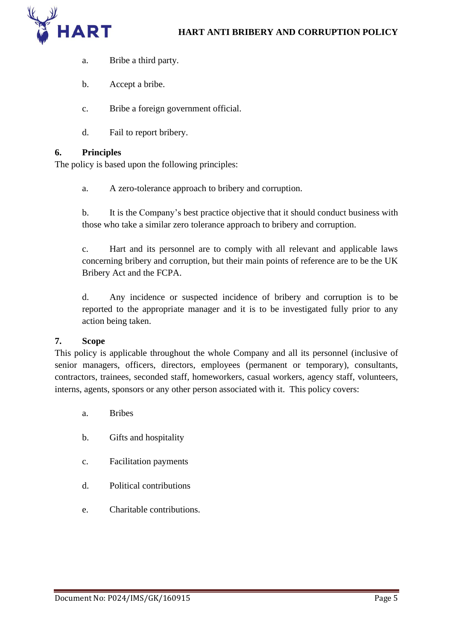

- a. Bribe a third party.
- b. Accept a bribe.
- c. Bribe a foreign government official.
- d. Fail to report bribery.

# <span id="page-4-0"></span>**6. Principles**

The policy is based upon the following principles:

a. A zero-tolerance approach to bribery and corruption.

b. It is the Company's best practice objective that it should conduct business with those who take a similar zero tolerance approach to bribery and corruption.

c. Hart and its personnel are to comply with all relevant and applicable laws concerning bribery and corruption, but their main points of reference are to be the UK Bribery Act and the FCPA.

d. Any incidence or suspected incidence of bribery and corruption is to be reported to the appropriate manager and it is to be investigated fully prior to any action being taken.

# <span id="page-4-1"></span>**7. Scope**

This policy is applicable throughout the whole Company and all its personnel (inclusive of senior managers, officers, directors, employees (permanent or temporary), consultants, contractors, trainees, seconded staff, homeworkers, casual workers, agency staff, volunteers, interns, agents, sponsors or any other person associated with it. This policy covers:

- a. Bribes
- b. Gifts and hospitality
- c. Facilitation payments
- d. Political contributions
- e. Charitable contributions.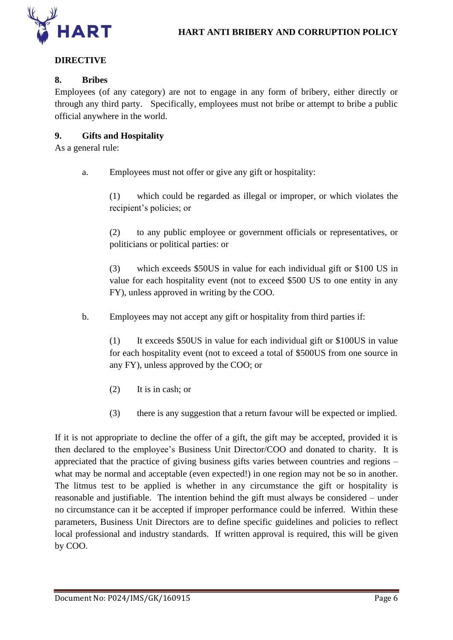

# <span id="page-5-0"></span>**DIRECTIVE**

# <span id="page-5-1"></span>**8. Bribes**

Employees (of any category) are not to engage in any form of bribery, either directly or through any third party. Specifically, employees must not bribe or attempt to bribe a public official anywhere in the world.

# <span id="page-5-2"></span>**9. Gifts and Hospitality**

As a general rule:

a. Employees must not offer or give any gift or hospitality:

(1) which could be regarded as illegal or improper, or which violates the recipient's policies; or

(2) to any public employee or government officials or representatives, or politicians or political parties: or

(3) which exceeds \$50US in value for each individual gift or \$100 US in value for each hospitality event (not to exceed \$500 US to one entity in any FY), unless approved in writing by the COO.

b. Employees may not accept any gift or hospitality from third parties if:

(1) It exceeds \$50US in value for each individual gift or \$100US in value for each hospitality event (not to exceed a total of \$500US from one source in any FY), unless approved by the COO; or

- (2) It is in cash; or
- (3) there is any suggestion that a return favour will be expected or implied.

If it is not appropriate to decline the offer of a gift, the gift may be accepted, provided it is then declared to the employee's Business Unit Director/COO and donated to charity. It is appreciated that the practice of giving business gifts varies between countries and regions – what may be normal and acceptable (even expected!) in one region may not be so in another. The litmus test to be applied is whether in any circumstance the gift or hospitality is reasonable and justifiable. The intention behind the gift must always be considered – under no circumstance can it be accepted if improper performance could be inferred. Within these parameters, Business Unit Directors are to define specific guidelines and policies to reflect local professional and industry standards. If written approval is required, this will be given by COO.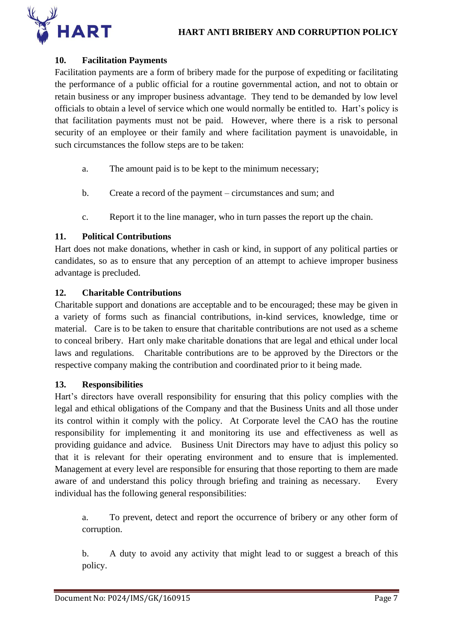

# <span id="page-6-0"></span>**10. Facilitation Payments**

Facilitation payments are a form of bribery made for the purpose of expediting or facilitating the performance of a public official for a routine governmental action, and not to obtain or retain business or any improper business advantage. They tend to be demanded by low level officials to obtain a level of service which one would normally be entitled to. Hart's policy is that facilitation payments must not be paid. However, where there is a risk to personal security of an employee or their family and where facilitation payment is unavoidable, in such circumstances the follow steps are to be taken:

- a. The amount paid is to be kept to the minimum necessary;
- b. Create a record of the payment circumstances and sum; and
- c. Report it to the line manager, who in turn passes the report up the chain.

# <span id="page-6-1"></span>**11. Political Contributions**

Hart does not make donations, whether in cash or kind, in support of any political parties or candidates, so as to ensure that any perception of an attempt to achieve improper business advantage is precluded.

# <span id="page-6-2"></span>**12. Charitable Contributions**

Charitable support and donations are acceptable and to be encouraged; these may be given in a variety of forms such as financial contributions, in-kind services, knowledge, time or material. Care is to be taken to ensure that charitable contributions are not used as a scheme to conceal bribery. Hart only make charitable donations that are legal and ethical under local laws and regulations. Charitable contributions are to be approved by the Directors or the respective company making the contribution and coordinated prior to it being made.

# <span id="page-6-3"></span>**13. Responsibilities**

Hart's directors have overall responsibility for ensuring that this policy complies with the legal and ethical obligations of the Company and that the Business Units and all those under its control within it comply with the policy. At Corporate level the CAO has the routine responsibility for implementing it and monitoring its use and effectiveness as well as providing guidance and advice. Business Unit Directors may have to adjust this policy so that it is relevant for their operating environment and to ensure that is implemented. Management at every level are responsible for ensuring that those reporting to them are made aware of and understand this policy through briefing and training as necessary. Every individual has the following general responsibilities:

a. To prevent, detect and report the occurrence of bribery or any other form of corruption.

b. A duty to avoid any activity that might lead to or suggest a breach of this policy.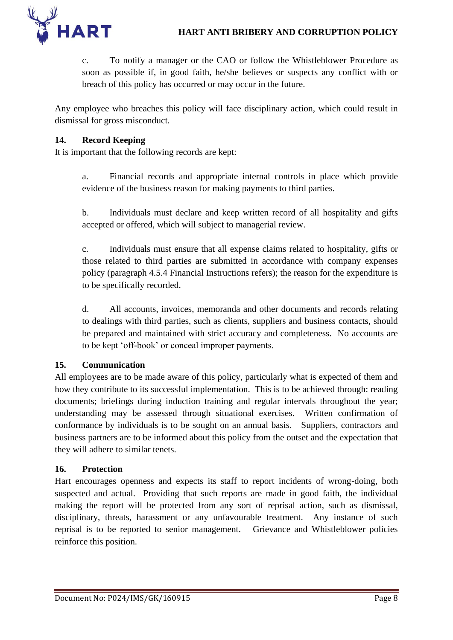

c. To notify a manager or the CAO or follow the Whistleblower Procedure as soon as possible if, in good faith, he/she believes or suspects any conflict with or breach of this policy has occurred or may occur in the future.

Any employee who breaches this policy will face disciplinary action, which could result in dismissal for gross misconduct.

# <span id="page-7-0"></span>**14. Record Keeping**

It is important that the following records are kept:

a. Financial records and appropriate internal controls in place which provide evidence of the business reason for making payments to third parties.

b. Individuals must declare and keep written record of all hospitality and gifts accepted or offered, which will subject to managerial review.

c. Individuals must ensure that all expense claims related to hospitality, gifts or those related to third parties are submitted in accordance with company expenses policy (paragraph 4.5.4 Financial Instructions refers); the reason for the expenditure is to be specifically recorded.

d. All accounts, invoices, memoranda and other documents and records relating to dealings with third parties, such as clients, suppliers and business contacts, should be prepared and maintained with strict accuracy and completeness. No accounts are to be kept 'off-book' or conceal improper payments.

# <span id="page-7-1"></span>**15. Communication**

All employees are to be made aware of this policy, particularly what is expected of them and how they contribute to its successful implementation. This is to be achieved through: reading documents; briefings during induction training and regular intervals throughout the year; understanding may be assessed through situational exercises. Written confirmation of conformance by individuals is to be sought on an annual basis. Suppliers, contractors and business partners are to be informed about this policy from the outset and the expectation that they will adhere to similar tenets.

# <span id="page-7-2"></span>**16. Protection**

Hart encourages openness and expects its staff to report incidents of wrong-doing, both suspected and actual. Providing that such reports are made in good faith, the individual making the report will be protected from any sort of reprisal action, such as dismissal, disciplinary, threats, harassment or any unfavourable treatment. Any instance of such reprisal is to be reported to senior management. Grievance and Whistleblower policies reinforce this position.